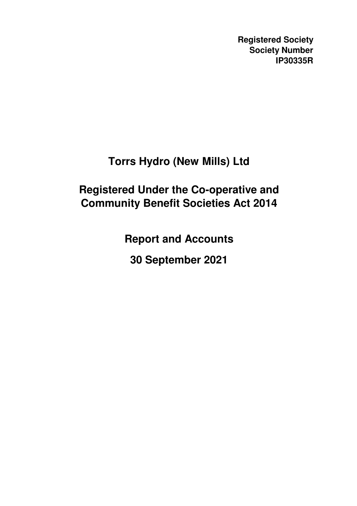**Registered Society Society Number IP30335R**

# **Torrs Hydro (New Mills) Ltd**

# **Registered Under the Co-operative and Community Benefit Societies Act 2014**

**Report and Accounts**

**30 September 2021**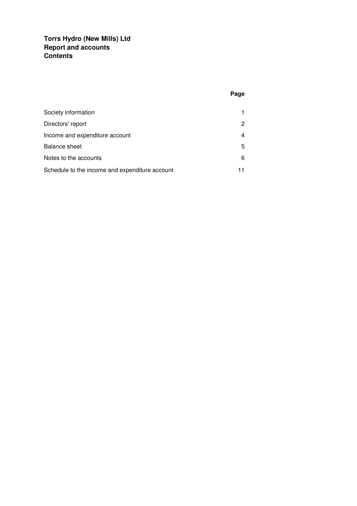## **Torrs Hydro (New Mills) Ltd Report and accounts Contents**

# **Page**

| Society information                            |   |
|------------------------------------------------|---|
| Directors' report                              | 2 |
| Income and expenditure account                 |   |
| <b>Balance sheet</b>                           | 5 |
| Notes to the accounts                          | 6 |
| Schedule to the income and expenditure account |   |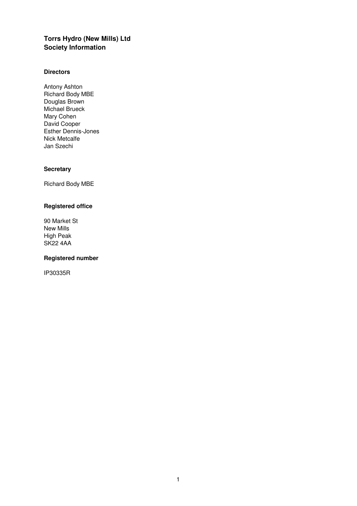## **Torrs Hydro (New Mills) Ltd Society Information**

#### **Directors**

Antony Ashton Richard Body MBE Douglas Brown Michael Brueck Mary Cohen David Cooper Esther Dennis-Jones Nick Metcalfe Jan Szechi

## **Secretary**

Richard Body MBE

## **Registered office**

90 Market St New Mills High Peak SK22 4AA

## **Registered number**

IP30335R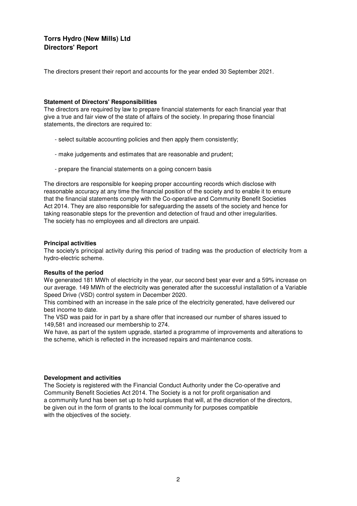## **Torrs Hydro (New Mills) Ltd Directors' Report**

The directors present their report and accounts for the year ended 30 September 2021.

#### **Statement of Directors' Responsibilities**

The directors are required by law to prepare financial statements for each financial year that give a true and fair view of the state of affairs of the society. In preparing those financial statements, the directors are required to:

- select suitable accounting policies and then apply them consistently;
- make judgements and estimates that are reasonable and prudent;
- prepare the financial statements on a going concern basis

The directors are responsible for keeping proper accounting records which disclose with reasonable accuracy at any time the financial position of the society and to enable it to ensure that the financial statements comply with the Co-operative and Community Benefit Societies Act 2014. They are also responsible for safeguarding the assets of the society and hence for taking reasonable steps for the prevention and detection of fraud and other irregularities. The society has no employees and all directors are unpaid.

#### **Principal activities**

The society's principal activity during this period of trading was the production of electricity from a hydro-electric scheme.

#### **Results of the period**

We generated 181 MWh of electricity in the year, our second best year ever and a 59% increase on our average. 149 MWh of the electricity was generated after the successful installation of a Variable Speed Drive (VSD) control system in December 2020.

This combined with an increase in the sale price of the electricity generated, have delivered our best income to date.

The VSD was paid for in part by a share offer that increased our number of shares issued to 149,581 and increased our membership to 274.

We have, as part of the system upgrade, started a programme of improvements and alterations to the scheme, which is reflected in the increased repairs and maintenance costs.

#### **Development and activities**

The Society is registered with the Financial Conduct Authority under the Co-operative and Community Benefit Societies Act 2014. The Society is a not for profit organisation and a community fund has been set up to hold surpluses that will, at the discretion of the directors, be given out in the form of grants to the local community for purposes compatible with the objectives of the society.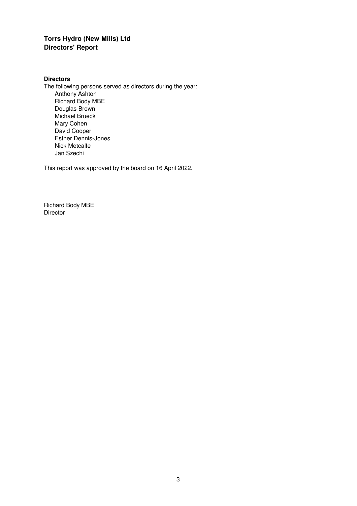# **Torrs Hydro (New Mills) Ltd Directors' Report**

## **Directors**

The following persons served as directors during the year: Anthony Ashton Richard Body MBE Douglas Brown Michael Brueck Mary Cohen David Cooper Esther Dennis-Jones Nick Metcalfe Jan Szechi

This report was approved by the board on 16 April 2022.

Richard Body MBE **Director**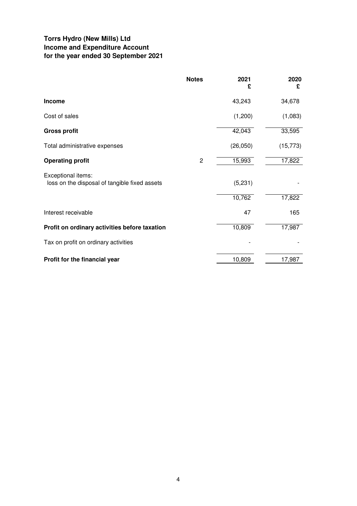## **Torrs Hydro (New Mills) Ltd Income and Expenditure Account for the year ended 30 September 2021**

|                                                                     | <b>Notes</b>   | 2021<br>£ | 2020<br>£ |
|---------------------------------------------------------------------|----------------|-----------|-----------|
| <b>Income</b>                                                       |                | 43,243    | 34,678    |
| Cost of sales                                                       |                | (1,200)   | (1,083)   |
| <b>Gross profit</b>                                                 |                | 42,043    | 33,595    |
| Total administrative expenses                                       |                | (26,050)  | (15, 773) |
| <b>Operating profit</b>                                             | $\overline{c}$ | 15,993    | 17,822    |
| Exceptional items:<br>loss on the disposal of tangible fixed assets |                | (5,231)   |           |
|                                                                     |                | 10,762    | 17,822    |
| Interest receivable                                                 |                | 47        | 165       |
| Profit on ordinary activities before taxation                       |                | 10,809    | 17,987    |
| Tax on profit on ordinary activities                                |                |           |           |
| Profit for the financial year                                       |                | 10,809    | 17,987    |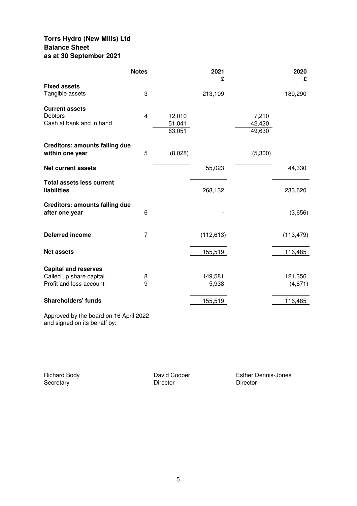## **Torrs Hydro (New Mills) Ltd Balance Sheet as at 30 September 2021**

|                                       | <b>Notes</b>   |                  | 2021<br>£  |                  | 2020<br>£  |
|---------------------------------------|----------------|------------------|------------|------------------|------------|
| <b>Fixed assets</b>                   |                |                  |            |                  |            |
| Tangible assets                       | 3              |                  | 213,109    |                  | 189,290    |
| <b>Current assets</b>                 |                |                  |            |                  |            |
| <b>Debtors</b>                        | $\overline{4}$ | 12,010           |            | 7,210            |            |
| Cash at bank and in hand              |                | 51,041<br>63,051 |            | 42,420<br>49,630 |            |
|                                       |                |                  |            |                  |            |
| <b>Creditors: amounts falling due</b> |                |                  |            |                  |            |
| within one year                       | 5              | (8,028)          |            | (5,300)          |            |
| <b>Net current assets</b>             |                |                  | 55,023     |                  | 44,330     |
| <b>Total assets less current</b>      |                |                  |            |                  |            |
| liabilities                           |                |                  | 268,132    |                  | 233,620    |
| <b>Creditors: amounts falling due</b> |                |                  |            |                  |            |
| after one year                        | 6              |                  |            |                  | (3,656)    |
|                                       |                |                  |            |                  |            |
| <b>Deferred income</b>                | 7              |                  | (112, 613) |                  | (113, 479) |
|                                       |                |                  |            |                  |            |
| <b>Net assets</b>                     |                |                  | 155,519    |                  | 116,485    |
| <b>Capital and reserves</b>           |                |                  |            |                  |            |
| Called up share capital               | 8              |                  | 149,581    |                  | 121,356    |
| Profit and loss account               | 9              |                  | 5,938      |                  | (4, 871)   |
|                                       |                |                  |            |                  |            |
| <b>Shareholders' funds</b>            |                |                  | 155,519    |                  | 116,485    |

Approved by the board on 16 April 2022 and signed on its behalf by:

Richard Body<br>
Secretary<br>
Director<br>
Director Secretary Director Director Director Director

Esther Dennis-Jones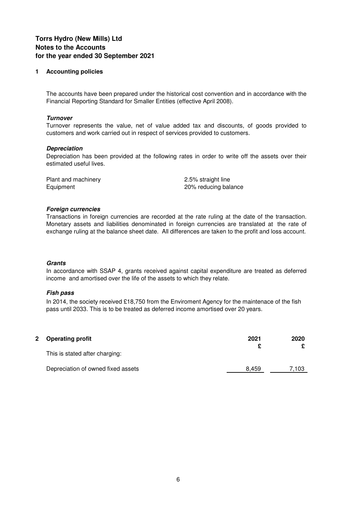## **1 Accounting policies**

The accounts have been prepared under the historical cost convention and in accordance with the Financial Reporting Standard for Smaller Entities (effective April 2008).

#### **Turnover**

Turnover represents the value, net of value added tax and discounts, of goods provided to customers and work carried out in respect of services provided to customers.

#### **Depreciation**

Depreciation has been provided at the following rates in order to write off the assets over their estimated useful lives.

Plant and machinery 2.5% straight line

Equipment 20% reducing balance

#### **Foreign currencies**

Transactions in foreign currencies are recorded at the rate ruling at the date of the transaction. Monetary assets and liabilities denominated in foreign currencies are translated at the rate of exchange ruling at the balance sheet date. All differences are taken to the profit and loss account.

#### **Grants**

In accordance with SSAP 4, grants received against capital expenditure are treated as deferred income and amortised over the life of the assets to which they relate.

#### **Fish pass**

In 2014, the society received £18,750 from the Enviroment Agency for the maintenace of the fish pass until 2033. This is to be treated as deferred income amortised over 20 years.

| 2 Operating profit                 | 2021  | 2020  |
|------------------------------------|-------|-------|
| This is stated after charging:     |       |       |
| Depreciation of owned fixed assets | 8.459 | 7.103 |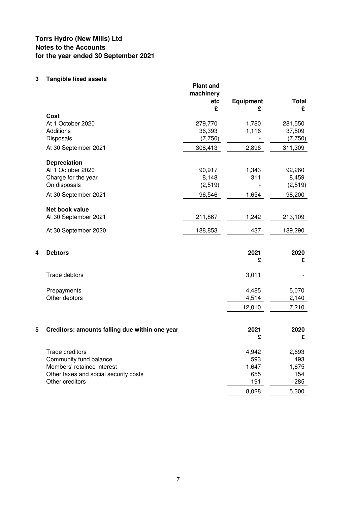# **3 Tangible fixed assets**

|   |                                                | <b>Plant and</b><br>machinery<br>etc<br>£ | <b>Equipment</b><br>£    | <b>Total</b><br>£ |
|---|------------------------------------------------|-------------------------------------------|--------------------------|-------------------|
|   | Cost                                           |                                           |                          |                   |
|   | At 1 October 2020                              | 279,770                                   | 1,780                    | 281,550           |
|   | <b>Additions</b>                               | 36,393                                    | 1,116                    | 37,509            |
|   | Disposals                                      | (7,750)                                   |                          | (7,750)           |
|   | At 30 September 2021                           | 308,413                                   | 2,896                    | 311,309           |
|   | <b>Depreciation</b>                            |                                           |                          |                   |
|   | At 1 October 2020                              | 90,917                                    | 1,343                    | 92,260            |
|   | Charge for the year                            | 8,148                                     | 311                      | 8,459             |
|   | On disposals                                   | (2,519)                                   | $\overline{\phantom{a}}$ | (2,519)           |
|   | At 30 September 2021                           | 96,546                                    | 1,654                    | 98,200            |
|   | <b>Net book value</b>                          |                                           |                          |                   |
|   | At 30 September 2021                           | 211,867                                   | 1,242                    | 213,109           |
|   | At 30 September 2020                           | 188,853                                   | 437                      | 189,290           |
|   |                                                |                                           |                          |                   |
| 4 | <b>Debtors</b>                                 |                                           | 2021<br>£                | 2020<br>£         |
|   |                                                |                                           |                          |                   |
|   | Trade debtors                                  |                                           | 3,011                    |                   |
|   | Prepayments                                    |                                           | 4,485                    | 5,070             |
|   | Other debtors                                  |                                           | 4,514                    | 2,140             |
|   |                                                |                                           | 12,010                   | 7,210             |
|   |                                                |                                           |                          |                   |
| 5 | Creditors: amounts falling due within one year |                                           | 2021                     | 2020              |
|   |                                                |                                           | £                        | £                 |
|   | Trade creditors                                |                                           | 4,942                    | 2,693             |
|   | Community fund balance                         |                                           | 593                      | 493               |
|   | Members' retained interest                     |                                           | 1,647                    | 1,675             |
|   | Other taxes and social security costs          |                                           | 655                      | 154               |
|   | Other creditors                                |                                           | 191                      | 285               |
|   |                                                |                                           | 8,028                    | 5,300             |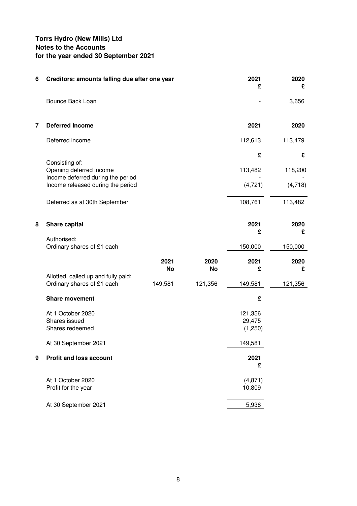| 6 | Creditors: amounts falling due after one year                                  |                   |                   | 2021<br>£                    | 2020<br>£ |
|---|--------------------------------------------------------------------------------|-------------------|-------------------|------------------------------|-----------|
|   | Bounce Back Loan                                                               |                   |                   |                              | 3,656     |
| 7 | <b>Deferred Income</b>                                                         |                   |                   | 2021                         | 2020      |
|   | Deferred income                                                                |                   |                   | 112,613                      | 113,479   |
|   |                                                                                |                   |                   | £                            | £         |
|   | Consisting of:<br>Opening deferred income<br>Income deferred during the period |                   |                   | 113,482                      | 118,200   |
|   | Income released during the period                                              |                   |                   | (4, 721)                     | (4,718)   |
|   | Deferred as at 30th September                                                  |                   |                   | 108,761                      | 113,482   |
| 8 | Share capital                                                                  |                   |                   | 2021                         | 2020      |
|   | Authorised:                                                                    |                   |                   | £                            | £         |
|   | Ordinary shares of £1 each                                                     |                   |                   | 150,000                      | 150,000   |
|   |                                                                                | 2021<br><b>No</b> | 2020<br><b>No</b> | 2021<br>£                    | 2020<br>£ |
|   | Allotted, called up and fully paid:<br>Ordinary shares of £1 each              | 149,581           | 121,356           | 149,581                      | 121,356   |
|   | <b>Share movement</b>                                                          |                   |                   | £                            |           |
|   | At 1 October 2020<br>Shares issued<br>Shares redeemed                          |                   |                   | 121,356<br>29,475<br>(1,250) |           |
|   | At 30 September 2021                                                           |                   |                   | 149,581                      |           |
| 9 | <b>Profit and loss account</b>                                                 |                   |                   | 2021<br>£                    |           |
|   | At 1 October 2020<br>Profit for the year                                       |                   |                   | (4, 871)<br>10,809           |           |
|   | At 30 September 2021                                                           |                   |                   | 5,938                        |           |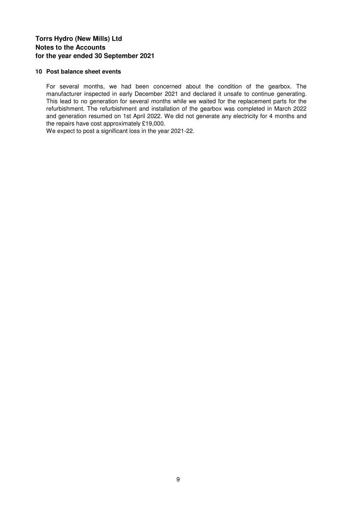### **10 Post balance sheet events**

For several months, we had been concerned about the condition of the gearbox. The manufacturer inspected in early December 2021 and declared it unsafe to continue generating. This lead to no generation for several months while we waited for the replacement parts for the refurbishment. The refurbishment and installation of the gearbox was completed in March 2022 and generation resumed on 1st April 2022. We did not generate any electricity for 4 months and the repairs have cost approximately £19,000.

We expect to post a significant loss in the year 2021-22.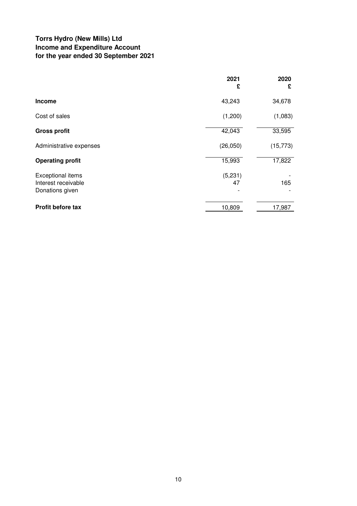## **Torrs Hydro (New Mills) Ltd Income and Expenditure Account for the year ended 30 September 2021**

|                                                             | 2021<br>£     | 2020<br>£ |
|-------------------------------------------------------------|---------------|-----------|
| <b>Income</b>                                               | 43,243        | 34,678    |
| Cost of sales                                               | (1,200)       | (1,083)   |
| <b>Gross profit</b>                                         | 42,043        | 33,595    |
| Administrative expenses                                     | (26,050)      | (15, 773) |
| <b>Operating profit</b>                                     | 15,993        | 17,822    |
| Exceptional items<br>Interest receivable<br>Donations given | (5,231)<br>47 | 165       |
| <b>Profit before tax</b>                                    | 10,809        | 17,987    |